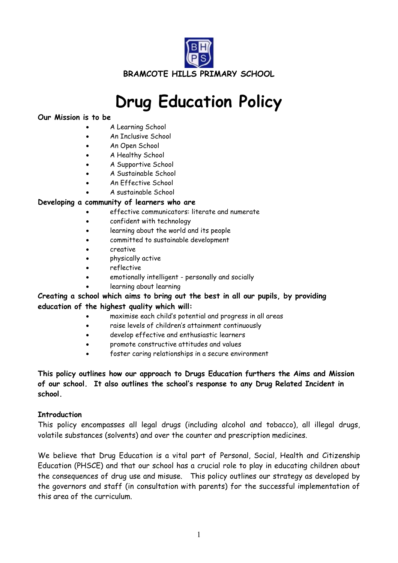

# **Drug Education Policy**

#### **Our Mission is to be**

- A Learning School
- An Inclusive School
- An Open School
- A Healthy School
- A Supportive School
- A Sustainable School
- An Effective School
- A sustainable School

#### **Developing a community of learners who are**

- effective communicators: literate and numerate
- confident with technology
- learning about the world and its people
- committed to sustainable development
- creative
- physically active
- reflective
- emotionally intelligent personally and socially
- learning about learning

#### **Creating a school which aims to bring out the best in all our pupils, by providing education of the highest quality which will:**

- maximise each child's potential and progress in all areas
- raise levels of children's attainment continuously
- develop effective and enthusiastic learners
- promote constructive attitudes and values
- foster caring relationships in a secure environment

#### **This policy outlines how our approach to Drugs Education furthers the Aims and Mission of our school. It also outlines the school's response to any Drug Related Incident in school.**

#### **Introduction**

This policy encompasses all legal drugs (including alcohol and tobacco), all illegal drugs, volatile substances (solvents) and over the counter and prescription medicines.

We believe that Drug Education is a vital part of Personal, Social, Health and Citizenship Education (PHSCE) and that our school has a crucial role to play in educating children about the consequences of drug use and misuse. This policy outlines our strategy as developed by the governors and staff (in consultation with parents) for the successful implementation of this area of the curriculum.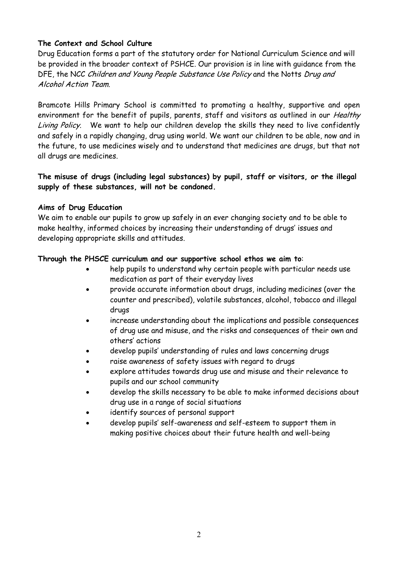#### **The Context and School Culture**

Drug Education forms a part of the statutory order for National Curriculum Science and will be provided in the broader context of PSHCE. Our provision is in line with guidance from the DFE, the NCC Children and Young People Substance Use Policy and the Notts Drug and Alcohol Action Team.

Bramcote Hills Primary School is committed to promoting a healthy, supportive and open environment for the benefit of pupils, parents, staff and visitors as outlined in our *Healthy* Living Policy. We want to help our children develop the skills they need to live confidently and safely in a rapidly changing, drug using world. We want our children to be able, now and in the future, to use medicines wisely and to understand that medicines are drugs, but that not all drugs are medicines.

#### **The misuse of drugs (including legal substances) by pupil, staff or visitors, or the illegal supply of these substances, will not be condoned.**

#### **Aims of Drug Education**

We aim to enable our pupils to grow up safely in an ever changing society and to be able to make healthy, informed choices by increasing their understanding of drugs' issues and developing appropriate skills and attitudes.

#### **Through the PHSCE curriculum and our supportive school ethos we aim to**:

- help pupils to understand why certain people with particular needs use medication as part of their everyday lives
- provide accurate information about drugs, including medicines (over the counter and prescribed), volatile substances, alcohol, tobacco and illegal drugs
- increase understanding about the implications and possible consequences of drug use and misuse, and the risks and consequences of their own and others' actions
- develop pupils' understanding of rules and laws concerning drugs
- raise awareness of safety issues with regard to drugs
- explore attitudes towards drug use and misuse and their relevance to pupils and our school community
- develop the skills necessary to be able to make informed decisions about drug use in a range of social situations
- identify sources of personal support
- develop pupils' self-awareness and self-esteem to support them in making positive choices about their future health and well-being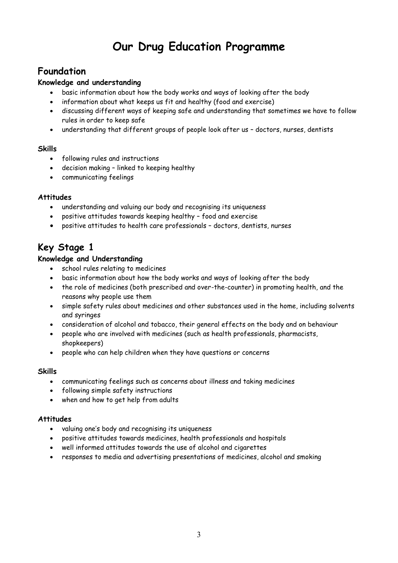# **Our Drug Education Programme**

# **Foundation**

#### **Knowledge and understanding**

- basic information about how the body works and ways of looking after the body
- information about what keeps us fit and healthy (food and exercise)
- discussing different ways of keeping safe and understanding that sometimes we have to follow rules in order to keep safe
- understanding that different groups of people look after us doctors, nurses, dentists

#### **Skills**

- following rules and instructions
- decision making linked to keeping healthy
- communicating feelings

#### **Attitudes**

- understanding and valuing our body and recognising its uniqueness
- positive attitudes towards keeping healthy food and exercise
- positive attitudes to health care professionals doctors, dentists, nurses

# **Key Stage 1**

#### **Knowledge and Understanding**

- school rules relating to medicines
- basic information about how the body works and ways of looking after the body
- the role of medicines (both prescribed and over-the-counter) in promoting health, and the reasons why people use them
- simple safety rules about medicines and other substances used in the home, including solvents and syringes
- consideration of alcohol and tobacco, their general effects on the body and on behaviour
- people who are involved with medicines (such as health professionals, pharmacists, shopkeepers)
- people who can help children when they have questions or concerns

#### **Skills**

- communicating feelings such as concerns about illness and taking medicines
- following simple safety instructions
- when and how to get help from adults

#### **Attitudes**

- valuing one's body and recognising its uniqueness
- positive attitudes towards medicines, health professionals and hospitals
- well informed attitudes towards the use of alcohol and cigarettes
- responses to media and advertising presentations of medicines, alcohol and smoking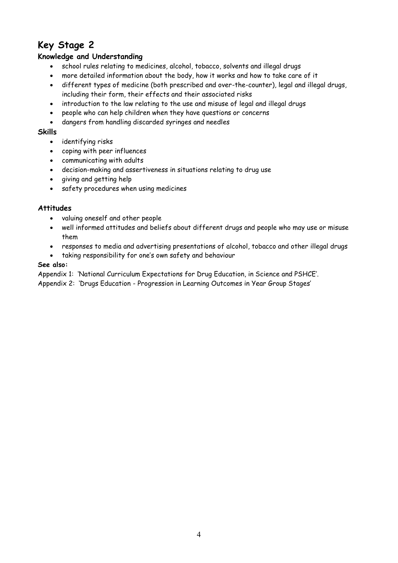# **Key Stage 2**

#### **Knowledge and Understanding**

- school rules relating to medicines, alcohol, tobacco, solvents and illegal drugs
- more detailed information about the body, how it works and how to take care of it
- different types of medicine (both prescribed and over-the-counter), legal and illegal drugs, including their form, their effects and their associated risks
- introduction to the law relating to the use and misuse of legal and illegal drugs
- people who can help children when they have questions or concerns
- dangers from handling discarded syringes and needles

#### **Skills**

- identifying risks
- coping with peer influences
- communicating with adults
- decision-making and assertiveness in situations relating to drug use
- giving and getting help
- safety procedures when using medicines

#### **Attitudes**

- valuing oneself and other people
- well informed attitudes and beliefs about different drugs and people who may use or misuse them
- responses to media and advertising presentations of alcohol, tobacco and other illegal drugs
- taking responsibility for one's own safety and behaviour

#### **See also:**

Appendix 1: 'National Curriculum Expectations for Drug Education, in Science and PSHCE'.

Appendix 2: 'Drugs Education - Progression in Learning Outcomes in Year Group Stages'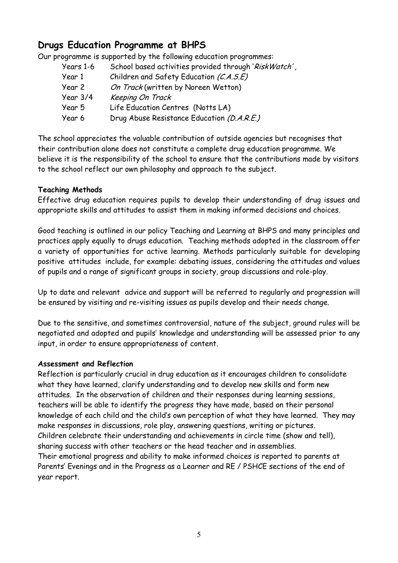# **Drugs Education Programme at BHPS**

Our programme is supported by the following education programmes:

| Years 1-6 | School based activities provided through 'RiskWatch', |  |  |
|-----------|-------------------------------------------------------|--|--|
| Year 1    | Children and Safety Education (C.A.S.E)               |  |  |
| Year 2    | On Track (written by Noreen Wetton)                   |  |  |
| Year 3/4  | Keeping On Track                                      |  |  |
| Year 5    | Life Education Centres (Notts LA)                     |  |  |
| Year 6    | Drug Abuse Resistance Education (D.A.R.E.)            |  |  |

The school appreciates the valuable contribution of outside agencies but recognises that their contribution alone does not constitute a complete drug education programme. We believe it is the responsibility of the school to ensure that the contributions made by visitors to the school reflect our own philosophy and approach to the subject.

#### **Teaching Methods**

Effective drug education requires pupils to develop their understanding of drug issues and appropriate skills and attitudes to assist them in making informed decisions and choices.

Good teaching is outlined in our policy Teaching and Learning at BHPS and many principles and practices apply equally to drugs education. Teaching methods adopted in the classroom offer a variety of opportunities for active learning. Methods particularly suitable for developing positive attitudes include, for example: debating issues, considering the attitudes and values of pupils and a range of significant groups in society, group discussions and role-play.

Up to date and relevant advice and support will be referred to regularly and progression will be ensured by visiting and re-visiting issues as pupils develop and their needs change.

Due to the sensitive, and sometimes controversial, nature of the subject, ground rules will be negotiated and adopted and pupils' knowledge and understanding will be assessed prior to any input, in order to ensure appropriateness of content.

#### **Assessment and Reflection**

Reflection is particularly crucial in drug education as it encourages children to consolidate what they have learned, clarify understanding and to develop new skills and form new attitudes. In the observation of children and their responses during learning sessions, teachers will be able to identify the progress they have made, based on their personal knowledge of each child and the child's own perception of what they have learned. They may make responses in discussions, role play, answering questions, writing or pictures. Children celebrate their understanding and achievements in circle time (show and tell), sharing success with other teachers or the head teacher and in assemblies. Their emotional progress and ability to make informed choices is reported to parents at Parents' Evenings and in the Progress as a Learner and RE / PSHCE sections of the end of year report.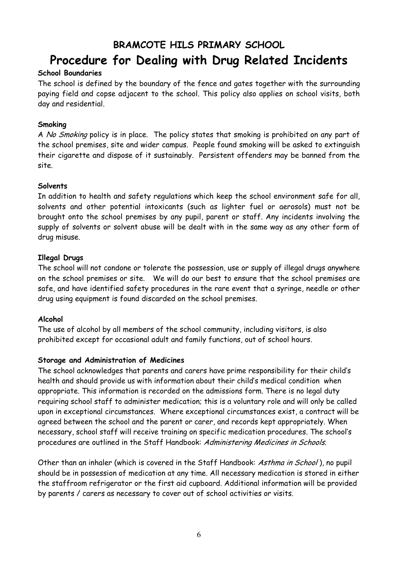# **BRAMCOTE HILS PRIMARY SCHOOL Procedure for Dealing with Drug Related Incidents**

#### **School Boundaries**

The school is defined by the boundary of the fence and gates together with the surrounding paying field and copse adjacent to the school. This policy also applies on school visits, both day and residential.

#### **Smoking**

A No Smoking policy is in place. The policy states that smoking is prohibited on any part of the school premises, site and wider campus. People found smoking will be asked to extinguish their cigarette and dispose of it sustainably. Persistent offenders may be banned from the site.

#### **Solvents**

In addition to health and safety regulations which keep the school environment safe for all, solvents and other potential intoxicants (such as lighter fuel or aerosols) must not be brought onto the school premises by any pupil, parent or staff. Any incidents involving the supply of solvents or solvent abuse will be dealt with in the same way as any other form of drug misuse.

#### **Illegal Drugs**

The school will not condone or tolerate the possession, use or supply of illegal drugs anywhere on the school premises or site. We will do our best to ensure that the school premises are safe, and have identified safety procedures in the rare event that a syringe, needle or other drug using equipment is found discarded on the school premises.

#### **Alcohol**

The use of alcohol by all members of the school community, including visitors, is also prohibited except for occasional adult and family functions, out of school hours.

#### **Storage and Administration of Medicines**

The school acknowledges that parents and carers have prime responsibility for their child's health and should provide us with information about their child's medical condition when appropriate. This information is recorded on the admissions form. There is no legal duty requiring school staff to administer medication; this is a voluntary role and will only be called upon in exceptional circumstances. Where exceptional circumstances exist, a contract will be agreed between the school and the parent or carer, and records kept appropriately. When necessary, school staff will receive training on specific medication procedures. The school's procedures are outlined in the Staff Handbook: Administering Medicines in Schools.

Other than an inhaler (which is covered in the Staff Handbook: Asthma in School), no pupil should be in possession of medication at any time. All necessary medication is stored in either the staffroom refrigerator or the first aid cupboard. Additional information will be provided by parents / carers as necessary to cover out of school activities or visits.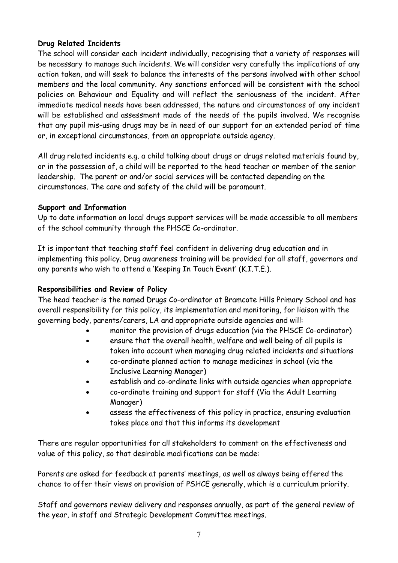#### **Drug Related Incidents**

The school will consider each incident individually, recognising that a variety of responses will be necessary to manage such incidents. We will consider very carefully the implications of any action taken, and will seek to balance the interests of the persons involved with other school members and the local community. Any sanctions enforced will be consistent with the school policies on Behaviour and Equality and will reflect the seriousness of the incident. After immediate medical needs have been addressed, the nature and circumstances of any incident will be established and assessment made of the needs of the pupils involved. We recognise that any pupil mis-using drugs may be in need of our support for an extended period of time or, in exceptional circumstances, from an appropriate outside agency.

All drug related incidents e.g. a child talking about drugs or drugs related materials found by, or in the possession of, a child will be reported to the head teacher or member of the senior leadership. The parent or and/or social services will be contacted depending on the circumstances. The care and safety of the child will be paramount.

#### **Support and Information**

Up to date information on local drugs support services will be made accessible to all members of the school community through the PHSCE Co-ordinator.

It is important that teaching staff feel confident in delivering drug education and in implementing this policy. Drug awareness training will be provided for all staff, governors and any parents who wish to attend a 'Keeping In Touch Event' (K.I.T.E.).

#### **Responsibilities and Review of Policy**

The head teacher is the named Drugs Co-ordinator at Bramcote Hills Primary School and has overall responsibility for this policy, its implementation and monitoring, for liaison with the governing body, parents/carers, LA and appropriate outside agencies and will:

- monitor the provision of drugs education (via the PHSCE Co-ordinator)
- ensure that the overall health, welfare and well being of all pupils is taken into account when managing drug related incidents and situations
- co-ordinate planned action to manage medicines in school (via the Inclusive Learning Manager)
- establish and co-ordinate links with outside agencies when appropriate
- co-ordinate training and support for staff (Via the Adult Learning Manager)
- assess the effectiveness of this policy in practice, ensuring evaluation takes place and that this informs its development

There are regular opportunities for all stakeholders to comment on the effectiveness and value of this policy, so that desirable modifications can be made:

Parents are asked for feedback at parents' meetings, as well as always being offered the chance to offer their views on provision of PSHCE generally, which is a curriculum priority.

Staff and governors review delivery and responses annually, as part of the general review of the year, in staff and Strategic Development Committee meetings.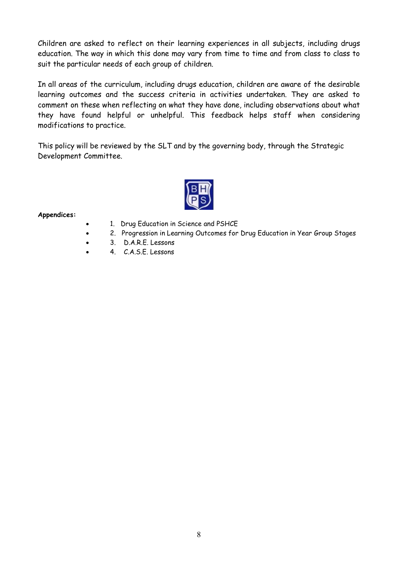Children are asked to reflect on their learning experiences in all subjects, including drugs education. The way in which this done may vary from time to time and from class to class to suit the particular needs of each group of children.

In all areas of the curriculum, including drugs education, children are aware of the desirable learning outcomes and the success criteria in activities undertaken. They are asked to comment on these when reflecting on what they have done, including observations about what they have found helpful or unhelpful. This feedback helps staff when considering modifications to practice.

This policy will be reviewed by the SLT and by the governing body, through the Strategic Development Committee.



**Appendices:**

- 1. Drug Education in Science and PSHCE
- 2. Progression in Learning Outcomes for Drug Education in Year Group Stages
- 3. D.A.R.E. Lessons
- 4. C.A.S.E. Lessons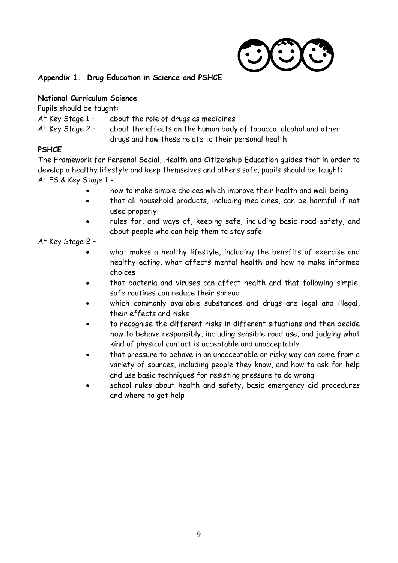

#### **Appendix 1. Drug Education in Science and PSHCE**

#### **National Curriculum Science**

Pupils should be taught:

At Key Stage 1 - about the role of drugs as medicines

At Key Stage 2 – about the effects on the human body of tobacco, alcohol and other drugs and how these relate to their personal health

#### **PSHCE**

The Framework for Personal Social, Health and Citizenship Education guides that in order to develop a healthy lifestyle and keep themselves and others safe, pupils should be taught: At FS & Key Stage 1 -

- how to make simple choices which improve their health and well-being
- that all household products, including medicines, can be harmful if not used properly
- rules for, and ways of, keeping safe, including basic road safety, and about people who can help them to stay safe

#### At Key Stage 2 –

- what makes a healthy lifestyle, including the benefits of exercise and healthy eating, what affects mental health and how to make informed choices
- that bacteria and viruses can affect health and that following simple, safe routines can reduce their spread
- which commonly available substances and drugs are legal and illegal, their effects and risks
- to recognise the different risks in different situations and then decide how to behave responsibly, including sensible road use, and judging what kind of physical contact is acceptable and unacceptable
- that pressure to behave in an unacceptable or risky way can come from a variety of sources, including people they know, and how to ask for help and use basic techniques for resisting pressure to do wrong
- school rules about health and safety, basic emergency aid procedures and where to get help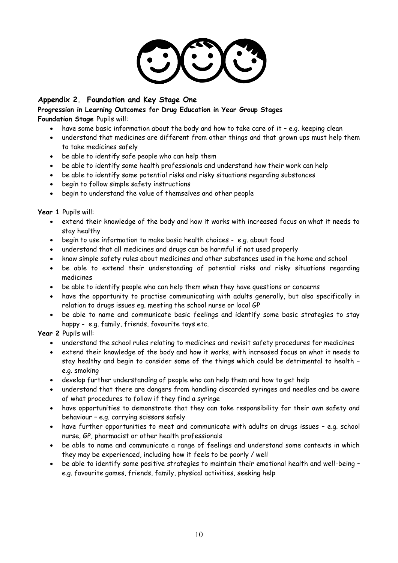

#### **Appendix 2. Foundation and Key Stage One**

#### **Progression in Learning Outcomes for Drug Education in Year Group Stages Foundation Stage** Pupils will:

- have some basic information about the body and how to take care of it e.g. keeping clean
- understand that medicines are different from other things and that grown ups must help them to take medicines safely
- be able to identify safe people who can help them
- be able to identify some health professionals and understand how their work can help
- be able to identify some potential risks and risky situations regarding substances
- begin to follow simple safety instructions
- begin to understand the value of themselves and other people

**Year 1** Pupils will:

- extend their knowledge of the body and how it works with increased focus on what it needs to stay healthy
- begin to use information to make basic health choices e.g. about food
- understand that all medicines and drugs can be harmful if not used properly
- know simple safety rules about medicines and other substances used in the home and school
- be able to extend their understanding of potential risks and risky situations regarding medicines
- be able to identify people who can help them when they have questions or concerns
- have the opportunity to practise communicating with adults generally, but also specifically in relation to drugs issues eg. meeting the school nurse or local GP
- be able to name and communicate basic feelings and identify some basic strategies to stay happy - e.g. family, friends, favourite toys etc.

**Year 2** Pupils will:

- understand the school rules relating to medicines and revisit safety procedures for medicines
- extend their knowledge of the body and how it works, with increased focus on what it needs to stay healthy and begin to consider some of the things which could be detrimental to health – e.g. smoking
- develop further understanding of people who can help them and how to get help
- understand that there are dangers from handling discarded syringes and needles and be aware of what procedures to follow if they find a syringe
- have opportunities to demonstrate that they can take responsibility for their own safety and behaviour – e.g. carrying scissors safely
- have further opportunities to meet and communicate with adults on drugs issues e.g. school nurse, GP, pharmacist or other health professionals
- be able to name and communicate a range of feelings and understand some contexts in which they may be experienced, including how it feels to be poorly / well
- be able to identify some positive strategies to maintain their emotional health and well-being e.g. favourite games, friends, family, physical activities, seeking help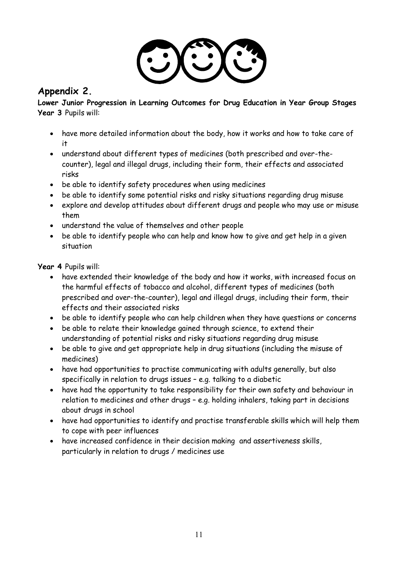

### **Appendix 2.**

**Lower Junior Progression in Learning Outcomes for Drug Education in Year Group Stages Year 3** Pupils will:

- have more detailed information about the body, how it works and how to take care of it
- understand about different types of medicines (both prescribed and over-thecounter), legal and illegal drugs, including their form, their effects and associated risks
- be able to identify safety procedures when using medicines
- be able to identify some potential risks and risky situations regarding drug misuse
- explore and develop attitudes about different drugs and people who may use or misuse them
- understand the value of themselves and other people
- be able to identify people who can help and know how to give and get help in a given situation

**Year 4** Pupils will:

- have extended their knowledge of the body and how it works, with increased focus on the harmful effects of tobacco and alcohol, different types of medicines (both prescribed and over-the-counter), legal and illegal drugs, including their form, their effects and their associated risks
- be able to identify people who can help children when they have questions or concerns
- be able to relate their knowledge gained through science, to extend their understanding of potential risks and risky situations regarding drug misuse
- be able to give and get appropriate help in drug situations (including the misuse of medicines)
- have had opportunities to practise communicating with adults generally, but also specifically in relation to drugs issues – e.g. talking to a diabetic
- have had the opportunity to take responsibility for their own safety and behaviour in relation to medicines and other drugs – e.g. holding inhalers, taking part in decisions about drugs in school
- have had opportunities to identify and practise transferable skills which will help them to cope with peer influences
- have increased confidence in their decision making and assertiveness skills, particularly in relation to drugs / medicines use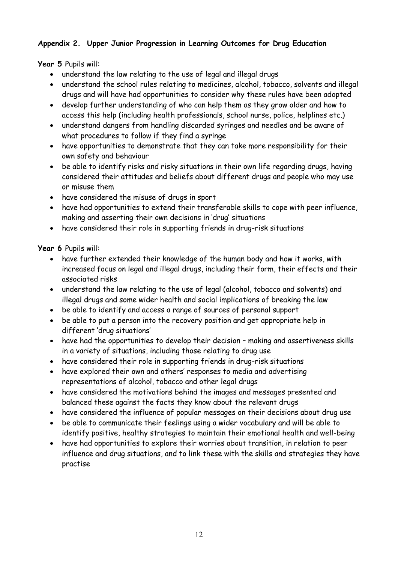#### **Appendix 2. Upper Junior Progression in Learning Outcomes for Drug Education**

**Year 5** Pupils will:

- understand the law relating to the use of legal and illegal drugs
- understand the school rules relating to medicines, alcohol, tobacco, solvents and illegal drugs and will have had opportunities to consider why these rules have been adopted
- develop further understanding of who can help them as they grow older and how to access this help (including health professionals, school nurse, police, helplines etc.)
- understand dangers from handling discarded syringes and needles and be aware of what procedures to follow if they find a syringe
- have opportunities to demonstrate that they can take more responsibility for their own safety and behaviour
- be able to identify risks and risky situations in their own life regarding drugs, having considered their attitudes and beliefs about different drugs and people who may use or misuse them
- have considered the misuse of drugs in sport
- have had opportunities to extend their transferable skills to cope with peer influence, making and asserting their own decisions in 'drug' situations
- have considered their role in supporting friends in drug-risk situations

**Year 6** Pupils will:

- have further extended their knowledge of the human body and how it works, with increased focus on legal and illegal drugs, including their form, their effects and their associated risks
- understand the law relating to the use of legal (alcohol, tobacco and solvents) and illegal drugs and some wider health and social implications of breaking the law
- be able to identify and access a range of sources of personal support
- be able to put a person into the recovery position and get appropriate help in different 'drug situations'
- have had the opportunities to develop their decision making and assertiveness skills in a variety of situations, including those relating to drug use
- have considered their role in supporting friends in drug-risk situations
- have explored their own and others' responses to media and advertising representations of alcohol, tobacco and other legal drugs
- have considered the motivations behind the images and messages presented and balanced these against the facts they know about the relevant drugs
- have considered the influence of popular messages on their decisions about drug use
- be able to communicate their feelings using a wider vocabulary and will be able to identify positive, healthy strategies to maintain their emotional health and well-being
- have had opportunities to explore their worries about transition, in relation to peer influence and drug situations, and to link these with the skills and strategies they have practise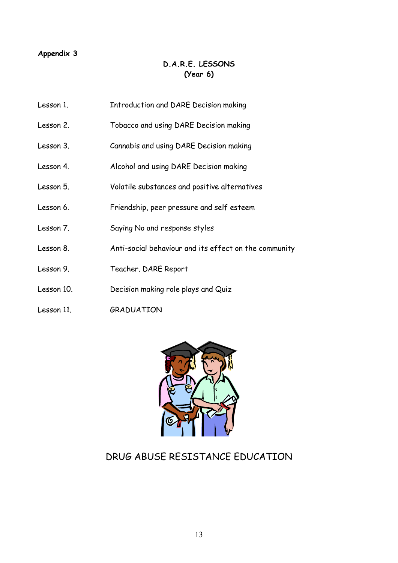#### **Appendix 3**

#### **D.A.R.E. LESSONS (Year 6)**

- Lesson 1. Introduction and DARE Decision making
- Lesson 2. Tobacco and using DARE Decision making
- Lesson 3. Cannabis and using DARE Decision making
- Lesson 4. Alcohol and using DARE Decision making
- Lesson 5. Volatile substances and positive alternatives
- Lesson 6. Friendship, peer pressure and self esteem
- Lesson 7. Saying No and response styles
- Lesson 8. Anti-social behaviour and its effect on the community
- Lesson 9. Teacher. DARE Report
- Lesson 10. Decision making role plays and Quiz
- Lesson 11. GRADUATION



# DRUG ABUSE RESISTANCE EDUCATION